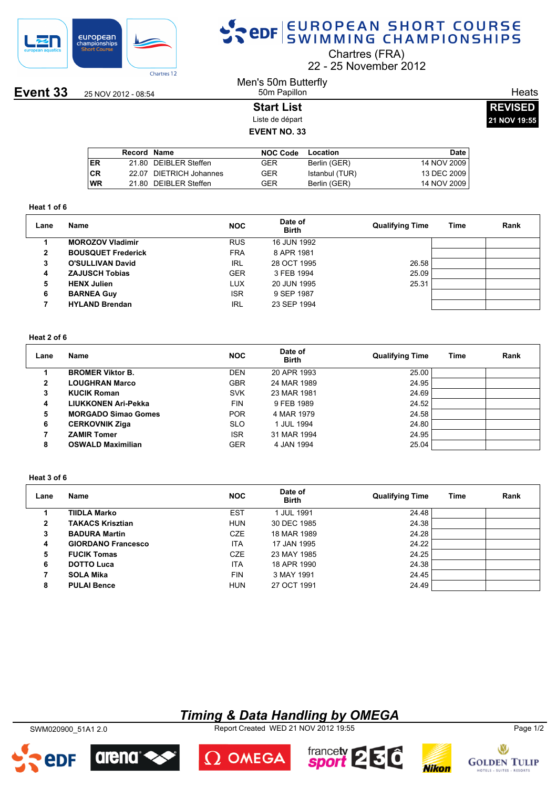

# SPOR EUROPEAN SHORT COURSE

Chartres (FRA)

22 25 November 2012

**Event 33** 25 NOV 2012 - 08:54

### Men's 50m Butterfly 50m Papillon

**Start List** Liste de départ **EVENT NO. 33**

| <b>REVISED</b> |  |
|----------------|--|
| 21 NOV 19:55   |  |

**Heats** 

|    | Record Name |                         | NOC Code | Location       | <b>Date</b> |
|----|-------------|-------------------------|----------|----------------|-------------|
| ER |             | 21.80 DEIBLER Steffen   | GER      | Berlin (GER)   | 14 NOV 2009 |
| СR |             | 22.07 DIETRICH Johannes | GER      | Istanbul (TUR) | 13 DEC 2009 |
| WR |             | 21.80 DEIBLER Steffen   | GER      | Berlin (GER)   | 14 NOV 2009 |
|    |             |                         |          |                |             |

#### **Heat 1 of 6**

| Lane | <b>Name</b>               | <b>NOC</b> | Date of<br><b>Birth</b> | <b>Qualifying Time</b> | Time | Rank |
|------|---------------------------|------------|-------------------------|------------------------|------|------|
|      | <b>MOROZOV Vladimir</b>   | <b>RUS</b> | 16 JUN 1992             |                        |      |      |
| 2    | <b>BOUSQUET Frederick</b> | <b>FRA</b> | 8 APR 1981              |                        |      |      |
| 3    | <b>O'SULLIVAN David</b>   | IRL        | 28 OCT 1995             | 26.58                  |      |      |
| 4    | <b>ZAJUSCH Tobias</b>     | <b>GER</b> | 3 FEB 1994              | 25.09                  |      |      |
| 5    | <b>HENX Julien</b>        | LUX        | 20 JUN 1995             | 25.31                  |      |      |
| 6    | <b>BARNEA Guy</b>         | <b>ISR</b> | 9 SEP 1987              |                        |      |      |
|      | <b>HYLAND Brendan</b>     | IRL        | 23 SEP 1994             |                        |      |      |

### **Heat 2 of 6**

| Lane | <b>Name</b>                | <b>NOC</b> | Date of<br><b>Birth</b> | <b>Qualifying Time</b> | Time | Rank |
|------|----------------------------|------------|-------------------------|------------------------|------|------|
|      | <b>BROMER Viktor B.</b>    | <b>DEN</b> | 20 APR 1993             | 25.00                  |      |      |
| 2    | <b>LOUGHRAN Marco</b>      | <b>GBR</b> | 24 MAR 1989             | 24.95                  |      |      |
| 3    | <b>KUCIK Roman</b>         | <b>SVK</b> | 23 MAR 1981             | 24.69                  |      |      |
| 4    | LIUKKONEN Ari-Pekka        | <b>FIN</b> | 9 FEB 1989              | 24.52                  |      |      |
| 5    | <b>MORGADO Simao Gomes</b> | <b>POR</b> | 4 MAR 1979              | 24.58                  |      |      |
| 6    | <b>CERKOVNIK Ziga</b>      | <b>SLO</b> | 1 JUL 1994              | 24.80                  |      |      |
|      | <b>ZAMIR Tomer</b>         | <b>ISR</b> | 31 MAR 1994             | 24.95                  |      |      |
| 8    | <b>OSWALD Maximilian</b>   | <b>GER</b> | 4 JAN 1994              | 25.04                  |      |      |

### **Heat 3 of 6**

| Lane         | Name                      | <b>NOC</b> | Date of<br><b>Birth</b> | <b>Qualifying Time</b> | Time | Rank |
|--------------|---------------------------|------------|-------------------------|------------------------|------|------|
|              | TIIDLA Marko              | <b>EST</b> | <b>JUL 1991</b>         | 24.48                  |      |      |
| $\mathbf{2}$ | <b>TAKACS Krisztian</b>   | <b>HUN</b> | 30 DEC 1985             | 24.38                  |      |      |
| 3            | <b>BADURA Martin</b>      | CZE        | 18 MAR 1989             | 24.28                  |      |      |
| 4            | <b>GIORDANO Francesco</b> | <b>ITA</b> | 17 JAN 1995             | 24.22                  |      |      |
| 5            | <b>FUCIK Tomas</b>        | CZE        | 23 MAY 1985             | 24.25                  |      |      |
| 6            | <b>DOTTO Luca</b>         | ITA        | 18 APR 1990             | 24.38                  |      |      |
|              | <b>SOLA Mika</b>          | <b>FIN</b> | 3 MAY 1991              | 24.45                  |      |      |
| 8            | <b>PULAI Bence</b>        | <b>HUN</b> | 27 OCT 1991             | 24.49                  |      |      |

### *Timing & Data Handling by OMEGA*

SWM020900\_51A1 2.0 Report Created WED 21 NOV 2012 19:55 Page 1/2